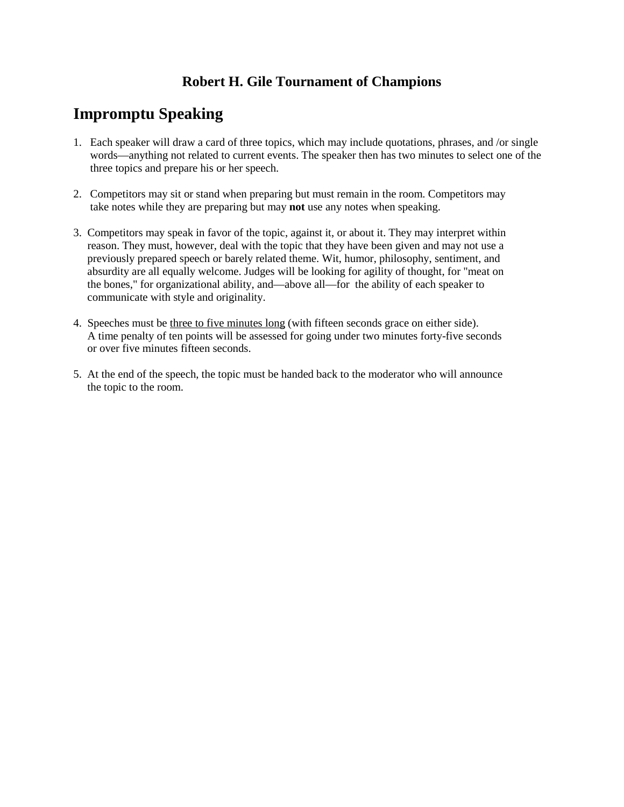## **Robert H. Gile Tournament of Champions**

## **Impromptu Speaking**

- 1. Each speaker will draw a card of three topics, which may include quotations, phrases, and /or single words—anything not related to current events. The speaker then has two minutes to select one of the three topics and prepare his or her speech.
- 2. Competitors may sit or stand when preparing but must remain in the room. Competitors may take notes while they are preparing but may **not** use any notes when speaking.
- 3. Competitors may speak in favor of the topic, against it, or about it. They may interpret within reason. They must, however, deal with the topic that they have been given and may not use a previously prepared speech or barely related theme. Wit, humor, philosophy, sentiment, and absurdity are all equally welcome. Judges will be looking for agility of thought, for "meat on the bones," for organizational ability, and—above all—for the ability of each speaker to communicate with style and originality.
- 4. Speeches must be three to five minutes long (with fifteen seconds grace on either side). A time penalty of ten points will be assessed for going under two minutes forty-five seconds or over five minutes fifteen seconds.
- 5. At the end of the speech, the topic must be handed back to the moderator who will announce the topic to the room.